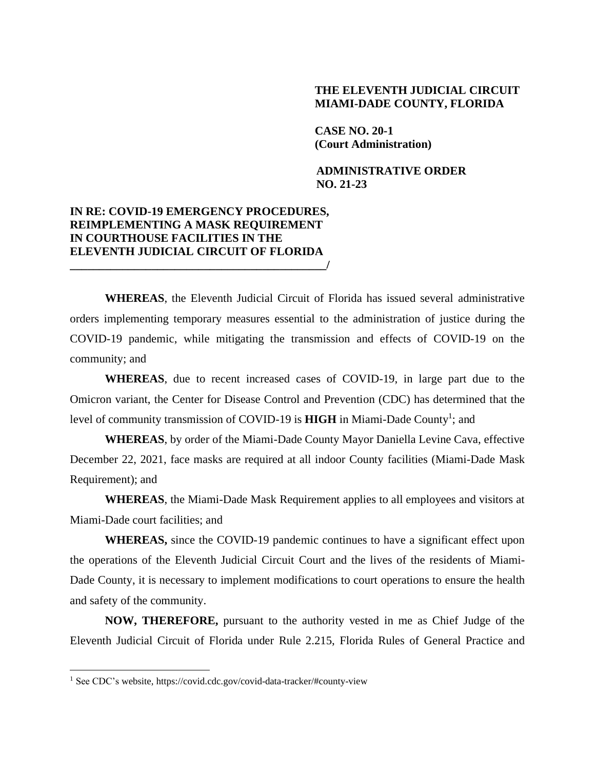## **THE ELEVENTH JUDICIAL CIRCUIT MIAMI-DADE COUNTY, FLORIDA**

**CASE NO. 20-1 (Court Administration)**

**ADMINISTRATIVE ORDER NO. 21-23**

## **IN RE: COVID-19 EMERGENCY PROCEDURES, REIMPLEMENTING A MASK REQUIREMENT IN COURTHOUSE FACILITIES IN THE ELEVENTH JUDICIAL CIRCUIT OF FLORIDA \_\_\_\_\_\_\_\_\_\_\_\_\_\_\_\_\_\_\_\_\_\_\_\_\_\_\_\_\_\_\_\_\_\_\_\_\_\_\_\_\_\_\_\_/**

**WHEREAS**, the Eleventh Judicial Circuit of Florida has issued several administrative orders implementing temporary measures essential to the administration of justice during the COVID-19 pandemic, while mitigating the transmission and effects of COVID-19 on the community; and

**WHEREAS**, due to recent increased cases of COVID-19, in large part due to the Omicron variant, the Center for Disease Control and Prevention (CDC) has determined that the level of community transmission of COVID-19 is HIGH in Miami-Dade County<sup>1</sup>; and

**WHEREAS**, by order of the Miami-Dade County Mayor Daniella Levine Cava, effective December 22, 2021, face masks are required at all indoor County facilities (Miami-Dade Mask Requirement); and

**WHEREAS**, the Miami-Dade Mask Requirement applies to all employees and visitors at Miami-Dade court facilities; and

**WHEREAS,** since the COVID-19 pandemic continues to have a significant effect upon the operations of the Eleventh Judicial Circuit Court and the lives of the residents of Miami-Dade County, it is necessary to implement modifications to court operations to ensure the health and safety of the community.

**NOW, THEREFORE,** pursuant to the authority vested in me as Chief Judge of the Eleventh Judicial Circuit of Florida under Rule 2.215, Florida Rules of General Practice and

<sup>1</sup> See CDC's website, https://covid.cdc.gov/covid-data-tracker/#county-view